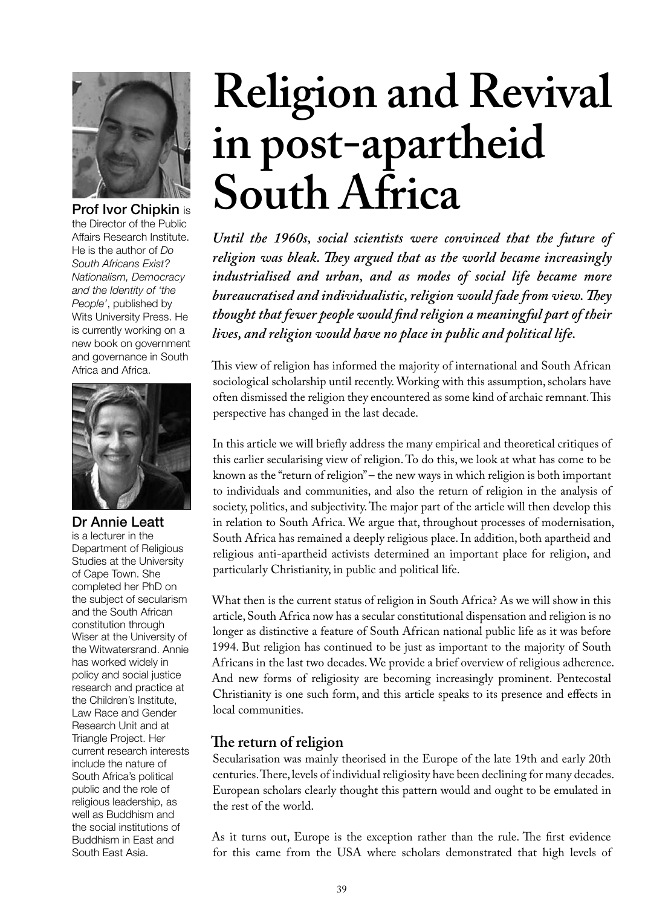

the Director of the Public Affairs Research Institute. He is the author of *Do South Africans Exist? Nationalism, Democracy and the Identity of 'the People'*, published by Wits University Press. He is currently working on a new book on government and governance in South Africa and Africa.



Dr Annie Leatt

is a lecturer in the Department of Religious Studies at the University of Cape Town. She completed her PhD on the subject of secularism and the South African constitution through Wiser at the University of the Witwatersrand. Annie has worked widely in policy and social justice research and practice at the Children's Institute, Law Race and Gender Research Unit and at Triangle Project. Her current research interests include the nature of South Africa's political public and the role of religious leadership, as well as Buddhism and the social institutions of Buddhism in East and South East Asia.

# **Religion and Revival in post-apartheid**  Prof Ivor Chipkin is **South Africa**

*Until the 1960s, social scientists were convinced that the future of religion was bleak. They argued that as the world became increasingly industrialised and urban, and as modes of social life became more bureaucratised and individualistic, religion would fade from view. They thought that fewer people would find religion a meaningful part of their lives, and religion would have no place in public and political life.* 

This view of religion has informed the majority of international and South African sociological scholarship until recently. Working with this assumption, scholars have often dismissed the religion they encountered as some kind of archaic remnant. This perspective has changed in the last decade.

In this article we will briefly address the many empirical and theoretical critiques of this earlier secularising view of religion. To do this, we look at what has come to be known as the "return of religion" – the new ways in which religion is both important to individuals and communities, and also the return of religion in the analysis of society, politics, and subjectivity. The major part of the article will then develop this in relation to South Africa. We argue that, throughout processes of modernisation, South Africa has remained a deeply religious place. In addition, both apartheid and religious anti-apartheid activists determined an important place for religion, and particularly Christianity, in public and political life.

What then is the current status of religion in South Africa? As we will show in this article, South Africa now has a secular constitutional dispensation and religion is no longer as distinctive a feature of South African national public life as it was before 1994. But religion has continued to be just as important to the majority of South Africans in the last two decades. We provide a brief overview of religious adherence. And new forms of religiosity are becoming increasingly prominent. Pentecostal Christianity is one such form, and this article speaks to its presence and effects in local communities.

## **The return of religion**

Secularisation was mainly theorised in the Europe of the late 19th and early 20th centuries. There, levels of individual religiosity have been declining for many decades. European scholars clearly thought this pattern would and ought to be emulated in the rest of the world.

As it turns out, Europe is the exception rather than the rule. The first evidence for this came from the USA where scholars demonstrated that high levels of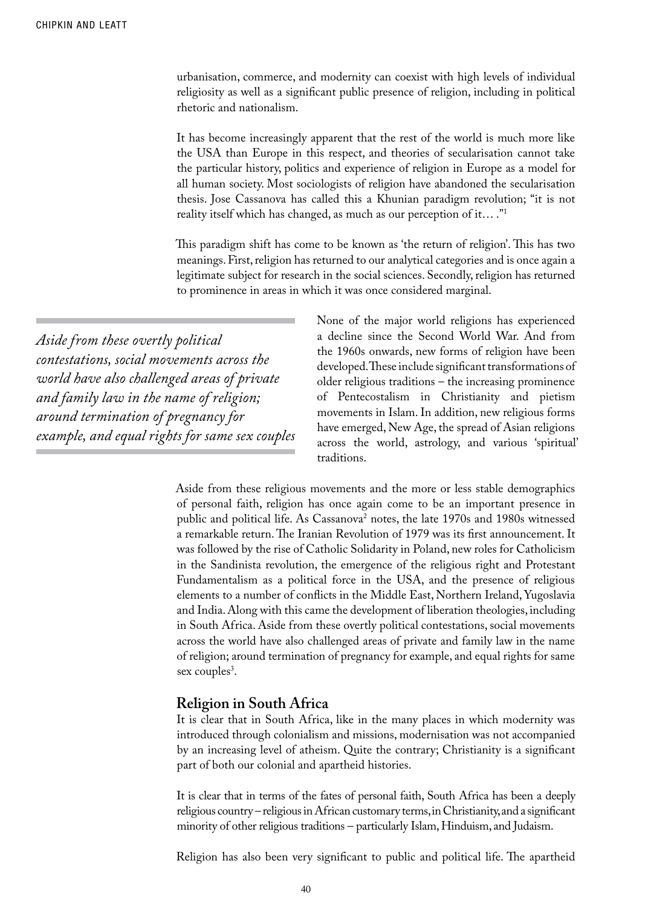urbanisation, commerce, and modernity can coexist with high levels of individual religiosity as well as a significant public presence of religion, including in political rhetoric and nationalism.

It has become increasingly apparent that the rest of the world is much more like the USA than Europe in this respect, and theories of secularisation cannot take the particular history, politics and experience of religion in Europe as a model for all human society. Most sociologists of religion have abandoned the secularisation thesis. Jose Cassanova has called this a Khunian paradigm revolution; "it is not reality itself which has changed, as much as our perception of it… ."1

This paradigm shift has come to be known as 'the return of religion'. This has two meanings. First, religion has returned to our analytical categories and is once again a legitimate subject for research in the social sciences. Secondly, religion has returned to prominence in areas in which it was once considered marginal.

*Aside from these overtly political contestations, social movements across the world have also challenged areas of private and family law in the name of religion; around termination of pregnancy for example, and equal rights for same sex couples* None of the major world religions has experienced a decline since the Second World War. And from the 1960s onwards, new forms of religion have been developed. These include significant transformations of older religious traditions – the increasing prominence of Pentecostalism in Christianity and pietism movements in Islam. In addition, new religious forms have emerged, New Age, the spread of Asian religions across the world, astrology, and various 'spiritual' traditions.

Aside from these religious movements and the more or less stable demographics of personal faith, religion has once again come to be an important presence in public and political life. As Cassanova<sup>2</sup> notes, the late 1970s and 1980s witnessed a remarkable return. The Iranian Revolution of 1979 was its first announcement. It was followed by the rise of Catholic Solidarity in Poland, new roles for Catholicism in the Sandinista revolution, the emergence of the religious right and Protestant Fundamentalism as a political force in the USA, and the presence of religious elements to a number of conflicts in the Middle East, Northern Ireland, Yugoslavia and India. Along with this came the development of liberation theologies, including in South Africa. Aside from these overtly political contestations, social movements across the world have also challenged areas of private and family law in the name of religion; around termination of pregnancy for example, and equal rights for same sex couples<sup>3</sup>.

### **Religion in South Africa**

It is clear that in South Africa, like in the many places in which modernity was introduced through colonialism and missions, modernisation was not accompanied by an increasing level of atheism. Quite the contrary; Christianity is a significant part of both our colonial and apartheid histories.

It is clear that in terms of the fates of personal faith, South Africa has been a deeply religious country – religious in African customary terms, in Christianity, and a significant minority of other religious traditions – particularly Islam, Hinduism, and Judaism.

Religion has also been very significant to public and political life. The apartheid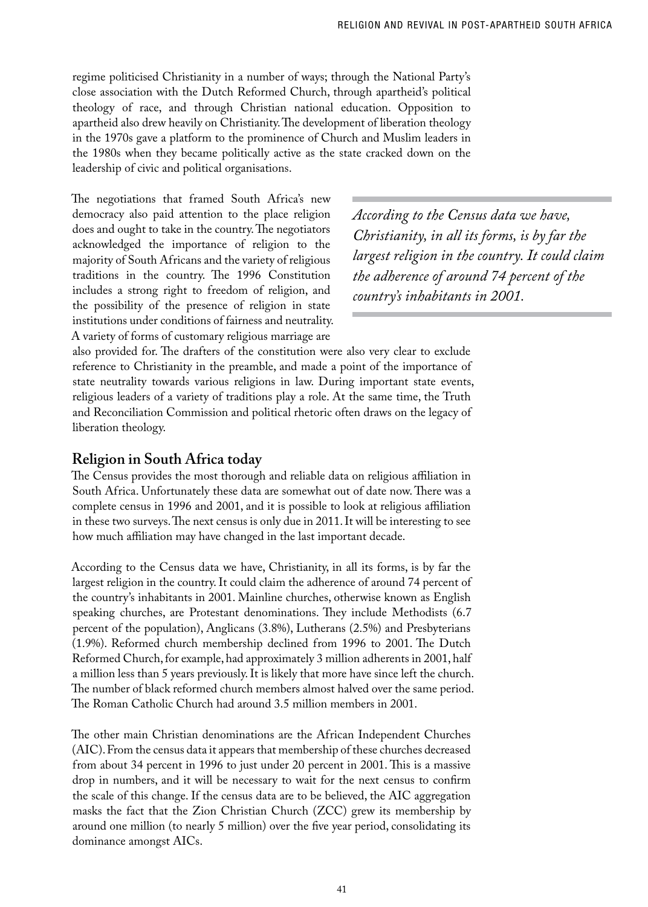regime politicised Christianity in a number of ways; through the National Party's close association with the Dutch Reformed Church, through apartheid's political theology of race, and through Christian national education. Opposition to apartheid also drew heavily on Christianity. The development of liberation theology in the 1970s gave a platform to the prominence of Church and Muslim leaders in the 1980s when they became politically active as the state cracked down on the leadership of civic and political organisations.

The negotiations that framed South Africa's new democracy also paid attention to the place religion does and ought to take in the country. The negotiators acknowledged the importance of religion to the majority of South Africans and the variety of religious traditions in the country. The 1996 Constitution includes a strong right to freedom of religion, and the possibility of the presence of religion in state institutions under conditions of fairness and neutrality. A variety of forms of customary religious marriage are

*According to the Census data we have, Christianity, in all its forms, is by far the largest religion in the country. It could claim the adherence of around 74 percent of the country's inhabitants in 2001.* 

also provided for. The drafters of the constitution were also very clear to exclude reference to Christianity in the preamble, and made a point of the importance of state neutrality towards various religions in law. During important state events, religious leaders of a variety of traditions play a role. At the same time, the Truth and Reconciliation Commission and political rhetoric often draws on the legacy of liberation theology.

## **Religion in South Africa today**

The Census provides the most thorough and reliable data on religious affiliation in South Africa. Unfortunately these data are somewhat out of date now. There was a complete census in 1996 and 2001, and it is possible to look at religious affiliation in these two surveys. The next census is only due in 2011. It will be interesting to see how much affiliation may have changed in the last important decade.

According to the Census data we have, Christianity, in all its forms, is by far the largest religion in the country. It could claim the adherence of around 74 percent of the country's inhabitants in 2001. Mainline churches, otherwise known as English speaking churches, are Protestant denominations. They include Methodists (6.7 percent of the population), Anglicans (3.8%), Lutherans (2.5%) and Presbyterians (1.9%). Reformed church membership declined from 1996 to 2001. The Dutch Reformed Church, for example, had approximately 3 million adherents in 2001, half a million less than 5 years previously. It is likely that more have since left the church. The number of black reformed church members almost halved over the same period. The Roman Catholic Church had around 3.5 million members in 2001.

The other main Christian denominations are the African Independent Churches (AIC). From the census data it appears that membership of these churches decreased from about 34 percent in 1996 to just under 20 percent in 2001. This is a massive drop in numbers, and it will be necessary to wait for the next census to confirm the scale of this change. If the census data are to be believed, the AIC aggregation masks the fact that the Zion Christian Church (ZCC) grew its membership by around one million (to nearly 5 million) over the five year period, consolidating its dominance amongst AICs.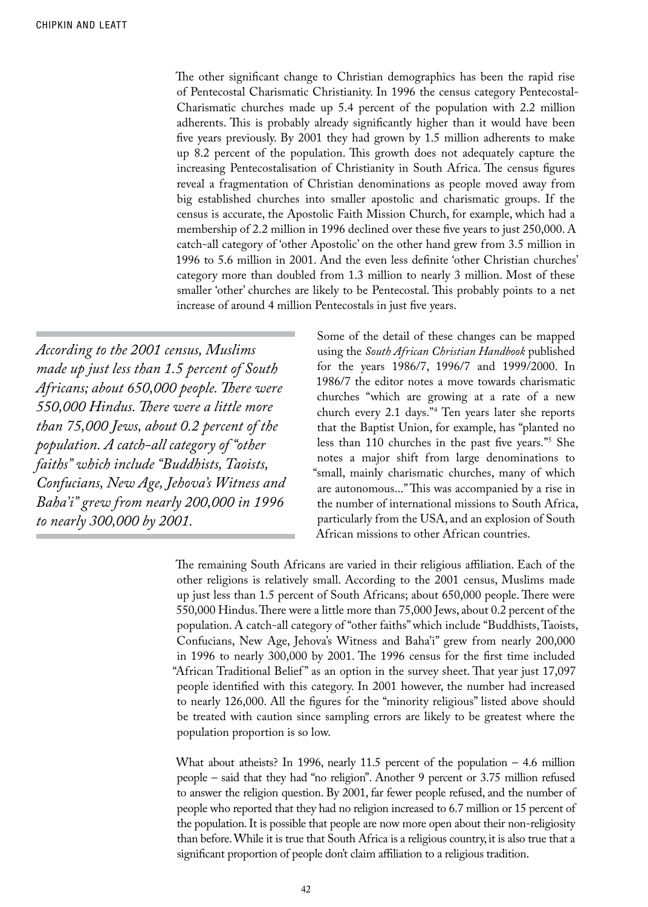The other significant change to Christian demographics has been the rapid rise of Pentecostal Charismatic Christianity. In 1996 the census category Pentecostal-Charismatic churches made up 5.4 percent of the population with 2.2 million adherents. This is probably already significantly higher than it would have been five years previously. By 2001 they had grown by 1.5 million adherents to make up 8.2 percent of the population. This growth does not adequately capture the increasing Pentecostalisation of Christianity in South Africa. The census figures reveal a fragmentation of Christian denominations as people moved away from big established churches into smaller apostolic and charismatic groups. If the census is accurate, the Apostolic Faith Mission Church, for example, which had a membership of 2.2 million in 1996 declined over these five years to just 250,000. A catch-all category of 'other Apostolic' on the other hand grew from 3.5 million in 1996 to 5.6 million in 2001. And the even less definite 'other Christian churches' category more than doubled from 1.3 million to nearly 3 million. Most of these smaller 'other' churches are likely to be Pentecostal. This probably points to a net increase of around 4 million Pentecostals in just five years.

*According to the 2001 census, Muslims made up just less than 1.5 percent of South Africans; about 650,000 people. There were 550,000 Hindus. There were a little more than 75,000 Jews, about 0.2 percent of the population. A catch-all category of "other faiths" which include "Buddhists, Taoists, Confucians, New Age, Jehova's Witness and Baha'i" grew from nearly 200,000 in 1996 to nearly 300,000 by 2001.* 

Some of the detail of these changes can be mapped using the *South African Christian Handbook* published for the years 1986/7, 1996/7 and 1999/2000. In 1986/7 the editor notes a move towards charismatic churches "which are growing at a rate of a new church every 2.1 days."4 Ten years later she reports that the Baptist Union, for example, has "planted no less than 110 churches in the past five years."5 She notes a major shift from large denominations to "small, mainly charismatic churches, many of which are autonomous..." This was accompanied by a rise in the number of international missions to South Africa, particularly from the USA, and an explosion of South African missions to other African countries.

The remaining South Africans are varied in their religious affiliation. Each of the other religions is relatively small. According to the 2001 census, Muslims made up just less than 1.5 percent of South Africans; about 650,000 people. There were 550,000 Hindus. There were a little more than 75,000 Jews, about 0.2 percent of the population. A catch-all category of "other faiths" which include "Buddhists, Taoists, Confucians, New Age, Jehova's Witness and Baha'i" grew from nearly 200,000 in 1996 to nearly 300,000 by 2001. The 1996 census for the first time included "African Traditional Belief" as an option in the survey sheet. That year just 17,097 people identified with this category. In 2001 however, the number had increased to nearly 126,000. All the figures for the "minority religious" listed above should be treated with caution since sampling errors are likely to be greatest where the population proportion is so low.

What about atheists? In 1996, nearly 11.5 percent of the population – 4.6 million people – said that they had "no religion". Another 9 percent or 3.75 million refused to answer the religion question. By 2001, far fewer people refused, and the number of people who reported that they had no religion increased to 6.7 million or 15 percent of the population. It is possible that people are now more open about their non-religiosity than before. While it is true that South Africa is a religious country, it is also true that a significant proportion of people don't claim affiliation to a religious tradition.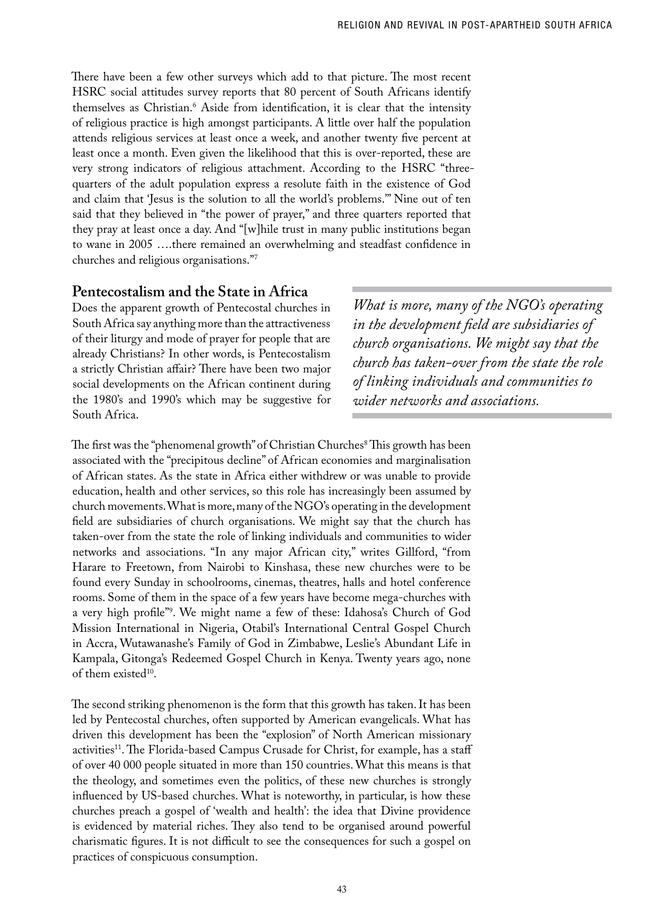There have been a few other surveys which add to that picture. The most recent HSRC social attitudes survey reports that 80 percent of South Africans identify themselves as Christian.<sup>8</sup> Aside from identification, it is clear that the intensity of religious practice is high amongst participants. A little over half the population attends religious services at least once a week, and another twenty five percent at least once a month. Even given the likelihood that this is over-reported, these are very strong indicators of religious attachment. According to the HSRC "threequarters of the adult population express a resolute faith in the existence of God and claim that 'Jesus is the solution to all the world's problems.'" Nine out of ten said that they believed in "the power of prayer," and three quarters reported that they pray at least once a day. And "[w]hile trust in many public institutions began to wane in 2005 ….there remained an overwhelming and steadfast confidence in churches and religious organisations."7

## **Pentecostalism and the State in Africa**

Does the apparent growth of Pentecostal churches in South Africa say anything more than the attractiveness of their liturgy and mode of prayer for people that are already Christians? In other words, is Pentecostalism a strictly Christian affair? There have been two major social developments on the African continent during the 1980's and 1990's which may be suggestive for South Africa.

*What is more, many of the NGO's operating in the development field are subsidiaries of church organisations. We might say that the church has taken-over from the state the role of linking individuals and communities to wider networks and associations.* 

The first was the "phenomenal growth" of Christian Churches<sup>8</sup> This growth has been associated with the "precipitous decline" of African economies and marginalisation of African states. As the state in Africa either withdrew or was unable to provide education, health and other services, so this role has increasingly been assumed by church movements. What is more, many of the NGO's operating in the development field are subsidiaries of church organisations. We might say that the church has taken-over from the state the role of linking individuals and communities to wider networks and associations. "In any major African city," writes Gillford, "from Harare to Freetown, from Nairobi to Kinshasa, these new churches were to be found every Sunday in schoolrooms, cinemas, theatres, halls and hotel conference rooms. Some of them in the space of a few years have become mega-churches with a very high profile"9 . We might name a few of these: Idahosa's Church of God Mission International in Nigeria, Otabil's International Central Gospel Church in Accra, Wutawanashe's Family of God in Zimbabwe, Leslie's Abundant Life in Kampala, Gitonga's Redeemed Gospel Church in Kenya. Twenty years ago, none of them existed<sup>10</sup>.

The second striking phenomenon is the form that this growth has taken. It has been led by Pentecostal churches, often supported by American evangelicals. What has driven this development has been the "explosion" of North American missionary activities<sup>11</sup>. The Florida-based Campus Crusade for Christ, for example, has a staff of over 40 000 people situated in more than 150 countries. What this means is that the theology, and sometimes even the politics, of these new churches is strongly influenced by US-based churches. What is noteworthy, in particular, is how these churches preach a gospel of 'wealth and health': the idea that Divine providence is evidenced by material riches. They also tend to be organised around powerful charismatic figures. It is not difficult to see the consequences for such a gospel on practices of conspicuous consumption.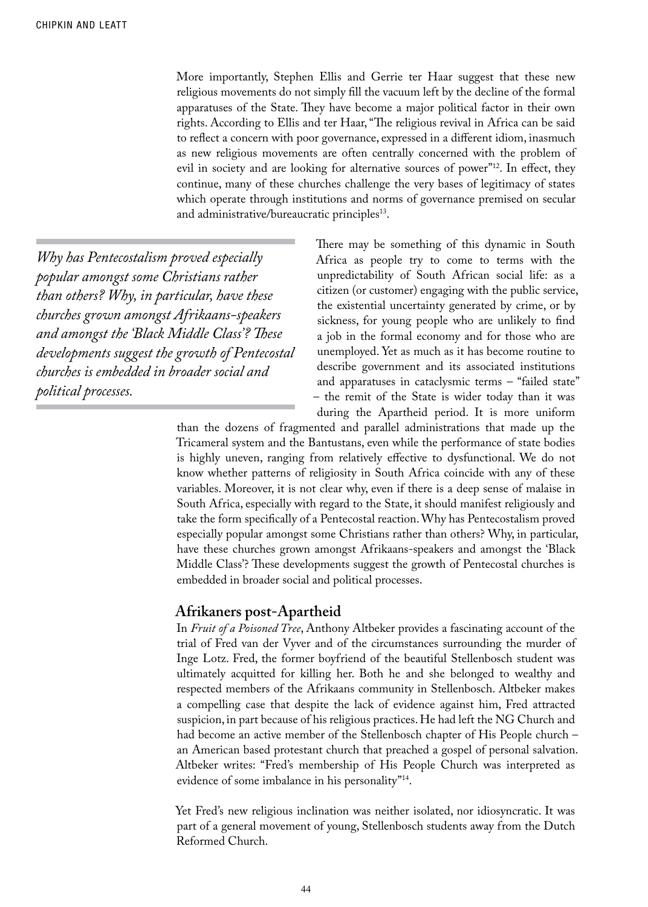More importantly, Stephen Ellis and Gerrie ter Haar suggest that these new religious movements do not simply fill the vacuum left by the decline of the formal apparatuses of the State. They have become a major political factor in their own rights. According to Ellis and ter Haar, "The religious revival in Africa can be said to reflect a concern with poor governance, expressed in a different idiom, inasmuch as new religious movements are often centrally concerned with the problem of evil in society and are looking for alternative sources of power"12. In effect, they continue, many of these churches challenge the very bases of legitimacy of states which operate through institutions and norms of governance premised on secular and administrative/bureaucratic principles<sup>13</sup>.

*Why has Pentecostalism proved especially popular amongst some Christians rather than others? Why, in particular, have these churches grown amongst Afrikaans-speakers and amongst the 'Black Middle Class'? These developments suggest the growth of Pentecostal churches is embedded in broader social and political processes.* 

There may be something of this dynamic in South Africa as people try to come to terms with the unpredictability of South African social life: as a citizen (or customer) engaging with the public service, the existential uncertainty generated by crime, or by sickness, for young people who are unlikely to find a job in the formal economy and for those who are unemployed. Yet as much as it has become routine to describe government and its associated institutions and apparatuses in cataclysmic terms – "failed state" – the remit of the State is wider today than it was during the Apartheid period. It is more uniform

than the dozens of fragmented and parallel administrations that made up the Tricameral system and the Bantustans, even while the performance of state bodies is highly uneven, ranging from relatively effective to dysfunctional. We do not know whether patterns of religiosity in South Africa coincide with any of these variables. Moreover, it is not clear why, even if there is a deep sense of malaise in South Africa, especially with regard to the State, it should manifest religiously and take the form specifically of a Pentecostal reaction. Why has Pentecostalism proved especially popular amongst some Christians rather than others? Why, in particular, have these churches grown amongst Afrikaans-speakers and amongst the 'Black Middle Class'? These developments suggest the growth of Pentecostal churches is embedded in broader social and political processes.

### **Afrikaners post-Apartheid**

In *Fruit of a Poisoned Tree*, Anthony Altbeker provides a fascinating account of the trial of Fred van der Vyver and of the circumstances surrounding the murder of Inge Lotz. Fred, the former boyfriend of the beautiful Stellenbosch student was ultimately acquitted for killing her. Both he and she belonged to wealthy and respected members of the Afrikaans community in Stellenbosch. Altbeker makes a compelling case that despite the lack of evidence against him, Fred attracted suspicion, in part because of his religious practices. He had left the NG Church and had become an active member of the Stellenbosch chapter of His People church – an American based protestant church that preached a gospel of personal salvation. Altbeker writes: "Fred's membership of His People Church was interpreted as evidence of some imbalance in his personality"14.

Yet Fred's new religious inclination was neither isolated, nor idiosyncratic. It was part of a general movement of young, Stellenbosch students away from the Dutch Reformed Church.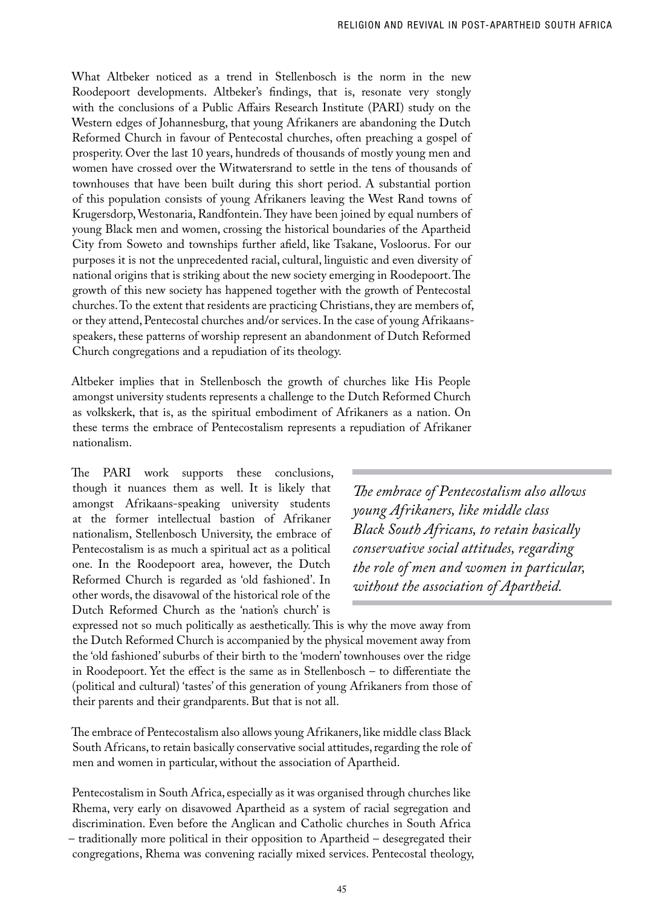What Altbeker noticed as a trend in Stellenbosch is the norm in the new Roodepoort developments. Altbeker's findings, that is, resonate very stongly with the conclusions of a Public Affairs Research Institute (PARI) study on the Western edges of Johannesburg, that young Afrikaners are abandoning the Dutch Reformed Church in favour of Pentecostal churches, often preaching a gospel of prosperity. Over the last 10 years, hundreds of thousands of mostly young men and women have crossed over the Witwatersrand to settle in the tens of thousands of townhouses that have been built during this short period. A substantial portion of this population consists of young Afrikaners leaving the West Rand towns of Krugersdorp, Westonaria, Randfontein. They have been joined by equal numbers of young Black men and women, crossing the historical boundaries of the Apartheid City from Soweto and townships further afield, like Tsakane, Vosloorus. For our purposes it is not the unprecedented racial, cultural, linguistic and even diversity of national origins that is striking about the new society emerging in Roodepoort. The growth of this new society has happened together with the growth of Pentecostal churches. To the extent that residents are practicing Christians, they are members of, or they attend, Pentecostal churches and/or services. In the case of young Afrikaansspeakers, these patterns of worship represent an abandonment of Dutch Reformed Church congregations and a repudiation of its theology.

Altbeker implies that in Stellenbosch the growth of churches like His People amongst university students represents a challenge to the Dutch Reformed Church as volkskerk, that is, as the spiritual embodiment of Afrikaners as a nation. On these terms the embrace of Pentecostalism represents a repudiation of Afrikaner nationalism.

The PARI work supports these conclusions, though it nuances them as well. It is likely that amongst Afrikaans-speaking university students at the former intellectual bastion of Afrikaner nationalism, Stellenbosch University, the embrace of Pentecostalism is as much a spiritual act as a political one. In the Roodepoort area, however, the Dutch Reformed Church is regarded as 'old fashioned'. In other words, the disavowal of the historical role of the Dutch Reformed Church as the 'nation's church' is

*The embrace of Pentecostalism also allows young Afrikaners, like middle class Black South Africans, to retain basically conservative social attitudes, regarding the role of men and women in particular, without the association of Apartheid.* 

expressed not so much politically as aesthetically. This is why the move away from the Dutch Reformed Church is accompanied by the physical movement away from the 'old fashioned' suburbs of their birth to the 'modern' townhouses over the ridge in Roodepoort. Yet the effect is the same as in Stellenbosch – to differentiate the (political and cultural) 'tastes' of this generation of young Afrikaners from those of their parents and their grandparents. But that is not all.

The embrace of Pentecostalism also allows young Afrikaners, like middle class Black South Africans, to retain basically conservative social attitudes, regarding the role of men and women in particular, without the association of Apartheid.

Pentecostalism in South Africa, especially as it was organised through churches like Rhema, very early on disavowed Apartheid as a system of racial segregation and discrimination. Even before the Anglican and Catholic churches in South Africa – traditionally more political in their opposition to Apartheid – desegregated their congregations, Rhema was convening racially mixed services. Pentecostal theology,